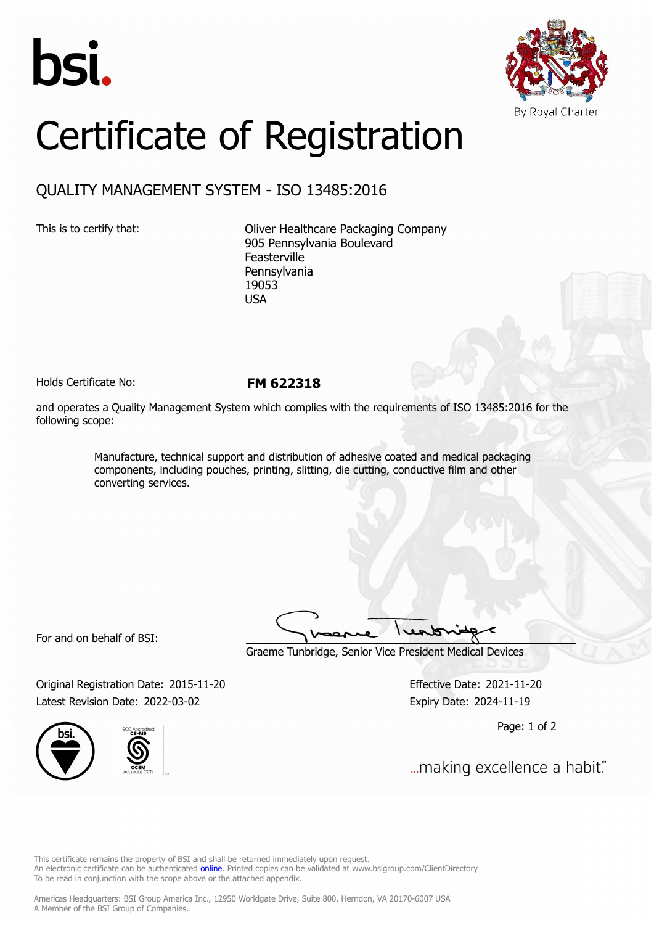



## Certificate of Registration

## QUALITY MANAGEMENT SYSTEM - ISO 13485:2016

This is to certify that: Oliver Healthcare Packaging Company 905 Pennsylvania Boulevard Feasterville Pennsylvania 19053 USA

Holds Certificate No: **FM 622318**

and operates a Quality Management System which complies with the requirements of ISO 13485:2016 for the following scope:

> Manufacture, technical support and distribution of adhesive coated and medical packaging components, including pouches, printing, slitting, die cutting, conductive film and other converting services.

For and on behalf of BSI:

Graeme Tunbridge, Senior Vice President Medical Devices

Original Registration Date: 2015-11-20 Effective Date: 2021-11-20 Latest Revision Date: 2022-03-02 **Expiry Date: 2024-11-19** 





Page: 1 of 2

... making excellence a habit."

This certificate remains the property of BSI and shall be returned immediately upon request. An electronic certificate can be authenticated *[online](https://pgplus.bsigroup.com/CertificateValidation/CertificateValidator.aspx?CertificateNumber=FM+622318&ReIssueDate=02%2f03%2f2022&Template=inc)*. Printed copies can be validated at www.bsigroup.com/ClientDirectory To be read in conjunction with the scope above or the attached appendix.

Americas Headquarters: BSI Group America Inc., 12950 Worldgate Drive, Suite 800, Herndon, VA 20170-6007 USA A Member of the BSI Group of Companies.